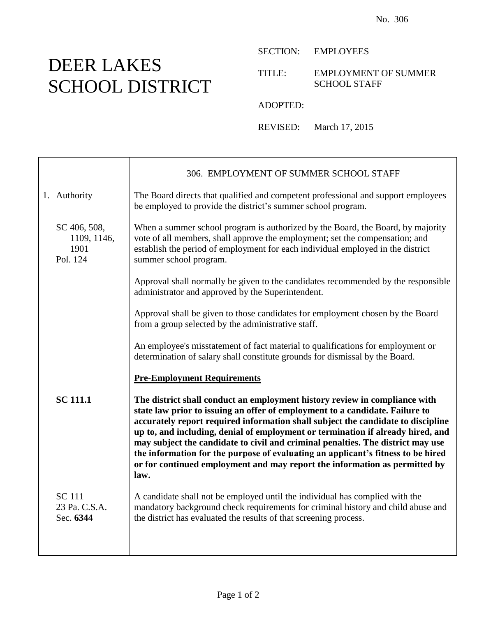## DEER LAKES SCHOOL DISTRICT

┱

SECTION: EMPLOYEES

TITLE: EMPLOYMENT OF SUMMER SCHOOL STAFF

ADOPTED:

REVISED: March 17, 2015

|                                                 | 306. EMPLOYMENT OF SUMMER SCHOOL STAFF                                                                                                                                                                                                                                                                                                                                                                                                                                                                                                                                                         |
|-------------------------------------------------|------------------------------------------------------------------------------------------------------------------------------------------------------------------------------------------------------------------------------------------------------------------------------------------------------------------------------------------------------------------------------------------------------------------------------------------------------------------------------------------------------------------------------------------------------------------------------------------------|
| 1. Authority                                    | The Board directs that qualified and competent professional and support employees<br>be employed to provide the district's summer school program.                                                                                                                                                                                                                                                                                                                                                                                                                                              |
| SC 406, 508,<br>1109, 1146,<br>1901<br>Pol. 124 | When a summer school program is authorized by the Board, the Board, by majority<br>vote of all members, shall approve the employment; set the compensation; and<br>establish the period of employment for each individual employed in the district<br>summer school program.                                                                                                                                                                                                                                                                                                                   |
|                                                 | Approval shall normally be given to the candidates recommended by the responsible<br>administrator and approved by the Superintendent.                                                                                                                                                                                                                                                                                                                                                                                                                                                         |
|                                                 | Approval shall be given to those candidates for employment chosen by the Board<br>from a group selected by the administrative staff.                                                                                                                                                                                                                                                                                                                                                                                                                                                           |
|                                                 | An employee's misstatement of fact material to qualifications for employment or<br>determination of salary shall constitute grounds for dismissal by the Board.                                                                                                                                                                                                                                                                                                                                                                                                                                |
|                                                 | <b>Pre-Employment Requirements</b>                                                                                                                                                                                                                                                                                                                                                                                                                                                                                                                                                             |
| <b>SC 111.1</b>                                 | The district shall conduct an employment history review in compliance with<br>state law prior to issuing an offer of employment to a candidate. Failure to<br>accurately report required information shall subject the candidate to discipline<br>up to, and including, denial of employment or termination if already hired, and<br>may subject the candidate to civil and criminal penalties. The district may use<br>the information for the purpose of evaluating an applicant's fitness to be hired<br>or for continued employment and may report the information as permitted by<br>law. |
| <b>SC</b> 111<br>23 Pa. C.S.A.<br>Sec. 6344     | A candidate shall not be employed until the individual has complied with the<br>mandatory background check requirements for criminal history and child abuse and<br>the district has evaluated the results of that screening process.                                                                                                                                                                                                                                                                                                                                                          |
|                                                 |                                                                                                                                                                                                                                                                                                                                                                                                                                                                                                                                                                                                |